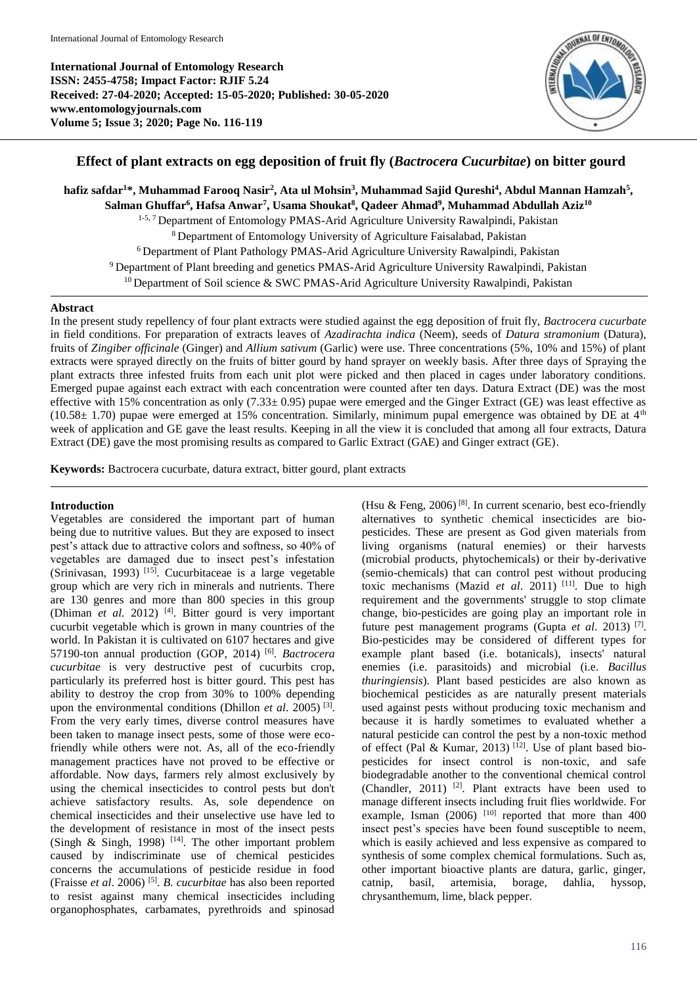**International Journal of Entomology Research ISSN: 2455-4758; Impact Factor: RJIF 5.24 Received: 27-04-2020; Accepted: 15-05-2020; Published: 30-05-2020 www.entomologyjournals.com Volume 5; Issue 3; 2020; Page No. 116-119**



# **Effect of plant extracts on egg deposition of fruit fly (***Bactrocera Cucurbitae***) on bitter gourd**

hafiz safdar<sup>1</sup>\*, Muhammad Farooq Nasir<sup>2</sup>, Ata ul Mohsin<sup>3</sup>, Muhammad Sajid Qureshi<sup>4</sup>, Abdul Mannan Hamzah<sup>5</sup>, **Salman Ghuffar<sup>6</sup> , Hafsa Anwar<sup>7</sup> , Usama Shoukat<sup>8</sup> , Qadeer Ahmad<sup>9</sup> , Muhammad Abdullah Aziz<sup>10</sup>** <sup>1-5, 7</sup> Department of Entomology PMAS-Arid Agriculture University Rawalpindi, Pakistan <sup>8</sup>Department of Entomology University of Agriculture Faisalabad, Pakistan <sup>6</sup> Department of Plant Pathology PMAS-Arid Agriculture University Rawalpindi, Pakistan <sup>9</sup> Department of Plant breeding and genetics PMAS-Arid Agriculture University Rawalpindi, Pakistan  $10$  Department of Soil science & SWC PMAS-Arid Agriculture University Rawalpindi, Pakistan

### **Abstract**

In the present study repellency of four plant extracts were studied against the egg deposition of fruit fly, *Bactrocera cucurbate* in field conditions. For preparation of extracts leaves of *Azadirachta indica* (Neem), seeds of *Datura stramonium* (Datura), fruits of *Zingiber officinale* (Ginger) and *Allium sativum* (Garlic) were use. Three concentrations (5%, 10% and 15%) of plant extracts were sprayed directly on the fruits of bitter gourd by hand sprayer on weekly basis. After three days of Spraying the plant extracts three infested fruits from each unit plot were picked and then placed in cages under laboratory conditions. Emerged pupae against each extract with each concentration were counted after ten days. Datura Extract (DE) was the most effective with 15% concentration as only (7.33± 0.95) pupae were emerged and the Ginger Extract (GE) was least effective as (10.58 $\pm$  1.70) pupae were emerged at 15% concentration. Similarly, minimum pupal emergence was obtained by DE at  $4<sup>th</sup>$ week of application and GE gave the least results. Keeping in all the view it is concluded that among all four extracts, Datura Extract (DE) gave the most promising results as compared to Garlic Extract (GAE) and Ginger extract (GE).

**Keywords:** Bactrocera cucurbate, datura extract, bitter gourd, plant extracts

## **Introduction**

Vegetables are considered the important part of human being due to nutritive values. But they are exposed to insect pest's attack due to attractive colors and softness, so 40% of vegetables are damaged due to insect pest's infestation (Srinivasan, 1993)<sup>[15]</sup>. Cucurbitaceae is a large vegetable group which are very rich in minerals and nutrients. There are 130 genres and more than 800 species in this group (Dhiman *et al.* 2012) [4]. Bitter gourd is very important cucurbit vegetable which is grown in many countries of the world. In Pakistan it is cultivated on 6107 hectares and give 57190-ton annual production (GOP, 2014) [6] . *Bactrocera cucurbitae* is very destructive pest of cucurbits crop, particularly its preferred host is bitter gourd. This pest has ability to destroy the crop from 30% to 100% depending upon the environmental conditions (Dhillon *et al*. 2005) [3] . From the very early times, diverse control measures have been taken to manage insect pests, some of those were ecofriendly while others were not. As, all of the eco-friendly management practices have not proved to be effective or affordable. Now days, farmers rely almost exclusively by using the chemical insecticides to control pests but don't achieve satisfactory results. As, sole dependence on chemical insecticides and their unselective use have led to the development of resistance in most of the insect pests (Singh & Singh, 1998) [14]. The other important problem caused by indiscriminate use of chemical pesticides concerns the accumulations of pesticide residue in food (Fraisse *et al*. 2006) [5] . *B. cucurbitae* has also been reported to resist against many chemical insecticides including organophosphates, carbamates, pyrethroids and spinosad

(Hsu & Feng, 2006)<sup>[8]</sup>. In current scenario, best eco-friendly alternatives to synthetic chemical insecticides are biopesticides. These are present as God given materials from living organisms (natural enemies) or their harvests (microbial products, phytochemicals) or their by-derivative (semio-chemicals) that can control pest without producing toxic mechanisms (Mazid *et al.* 2011)<sup>[11]</sup>. Due to high requirement and the governments' struggle to stop climate change, bio-pesticides are going play an important role in future pest management programs (Gupta *et al*. 2013) [7] . Bio-pesticides may be considered of different types for example plant based (i.e. botanicals), insects' natural enemies (i.e. parasitoids) and microbial (i.e. *Bacillus thuringiensis*). Plant based pesticides are also known as biochemical pesticides as are naturally present materials used against pests without producing toxic mechanism and because it is hardly sometimes to evaluated whether a natural pesticide can control the pest by a non-toxic method of effect (Pal & Kumar, 2013)<sup>[12]</sup>. Use of plant based biopesticides for insect control is non-toxic, and safe biodegradable another to the conventional chemical control (Chandler, 2011)<sup>[2]</sup>. Plant extracts have been used to manage different insects including fruit flies worldwide. For example, Isman  $(2006)$ <sup>[10]</sup> reported that more than 400 insect pest's species have been found susceptible to neem, which is easily achieved and less expensive as compared to synthesis of some complex chemical formulations. Such as, other important bioactive plants are datura, garlic, ginger, catnip, basil, artemisia, borage, dahlia, hyssop, chrysanthemum, lime, black pepper.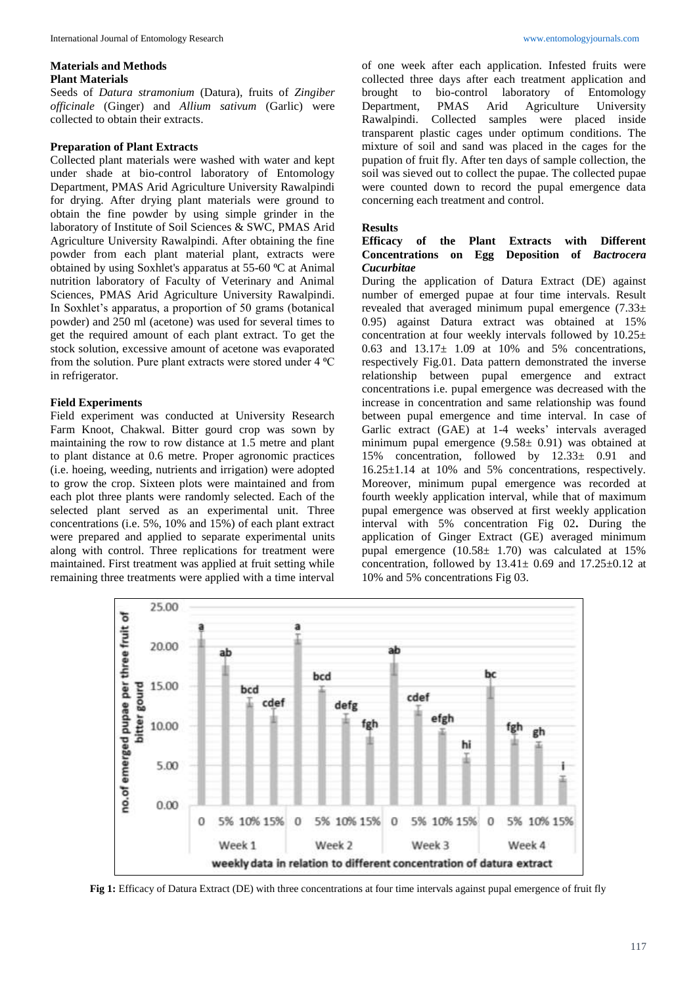### **Materials and Methods Plant Materials**

Seeds of *Datura stramonium* (Datura), fruits of *Zingiber officinale* (Ginger) and *Allium sativum* (Garlic) were collected to obtain their extracts.

# **Preparation of Plant Extracts**

Collected plant materials were washed with water and kept under shade at bio-control laboratory of Entomology Department, PMAS Arid Agriculture University Rawalpindi for drying. After drying plant materials were ground to obtain the fine powder by using simple grinder in the laboratory of Institute of Soil Sciences & SWC, PMAS Arid Agriculture University Rawalpindi. After obtaining the fine powder from each plant material plant, extracts were obtained by using Soxhlet's apparatus at 55-60 °C at Animal nutrition laboratory of Faculty of Veterinary and Animal Sciences, PMAS Arid Agriculture University Rawalpindi. In Soxhlet's apparatus, a proportion of 50 grams (botanical powder) and 250 ml (acetone) was used for several times to get the required amount of each plant extract. To get the stock solution, excessive amount of acetone was evaporated from the solution. Pure plant extracts were stored under 4 °C in refrigerator.

### **Field Experiments**

Field experiment was conducted at University Research Farm Knoot, Chakwal. Bitter gourd crop was sown by maintaining the row to row distance at 1.5 metre and plant to plant distance at 0.6 metre. Proper agronomic practices (i.e. hoeing, weeding, nutrients and irrigation) were adopted to grow the crop. Sixteen plots were maintained and from each plot three plants were randomly selected. Each of the selected plant served as an experimental unit. Three concentrations (i.e. 5%, 10% and 15%) of each plant extract were prepared and applied to separate experimental units along with control. Three replications for treatment were maintained. First treatment was applied at fruit setting while remaining three treatments were applied with a time interval

of one week after each application. Infested fruits were collected three days after each treatment application and brought to bio-control laboratory of Entomology Department, PMAS Arid Agriculture University Rawalpindi. Collected samples were placed inside transparent plastic cages under optimum conditions. The mixture of soil and sand was placed in the cages for the pupation of fruit fly. After ten days of sample collection, the soil was sieved out to collect the pupae. The collected pupae were counted down to record the pupal emergence data concerning each treatment and control.

# **Results**

# of the Plant Extracts with Different **itions** on Egg Deposition of *Bactrocera* **Concentrations** on *Egg Cucurbitae*

During the application of Datura Extract (DE) against number of emerged pupae at four time intervals. Result revealed that averaged minimum pupal emergence  $(7.33\pm$ 0.95) against Datura extract was obtained at 15% concentration at four weekly intervals followed by 10.25± 0.63 and  $13.17 \pm 1.09$  at 10% and 5% concentrations, respectively Fig.01. Data pattern demonstrated the inverse relationship between pupal emergence and extract concentrations i.e. pupal emergence was decreased with the increase in concentration and same relationship was found between pupal emergence and time interval. In case of Garlic extract (GAE) at 1-4 weeks' intervals averaged minimum pupal emergence (9.58± 0.91) was obtained at 15% concentration, followed by 12.33± 0.91 and 16.25±1.14 at 10% and 5% concentrations, respectively. Moreover, minimum pupal emergence was recorded at fourth weekly application interval, while that of maximum pupal emergence was observed at first weekly application interval with 5% concentration Fig 02**.** During the application of Ginger Extract (GE) averaged minimum pupal emergence  $(10.58 \pm 1.70)$  was calculated at 15% concentration, followed by  $13.41 \pm 0.69$  and  $17.25 \pm 0.12$  at 10% and 5% concentrations Fig 03.



**Fig 1:** Efficacy of Datura Extract (DE) with three concentrations at four time intervals against pupal emergence of fruit fly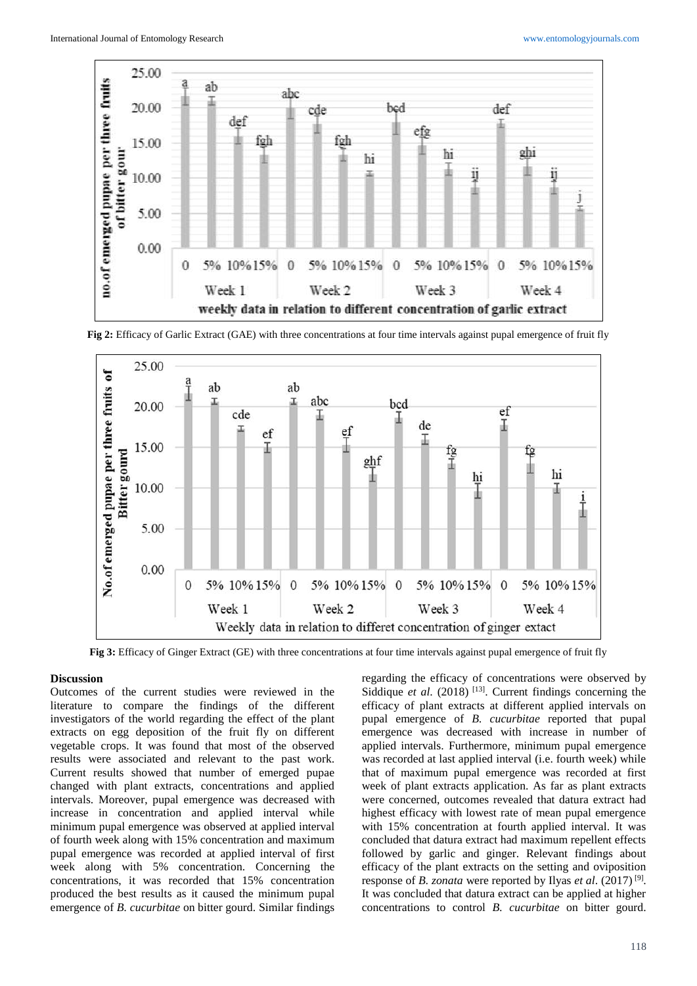

**Fig 2:** Efficacy of Garlic Extract (GAE) with three concentrations at four time intervals against pupal emergence of fruit fly



**Fig 3:** Efficacy of Ginger Extract (GE) with three concentrations at four time intervals against pupal emergence of fruit fly

### **Discussion**

Outcomes of the current studies were reviewed in the literature to compare the findings of the different investigators of the world regarding the effect of the plant extracts on egg deposition of the fruit fly on different vegetable crops. It was found that most of the observed results were associated and relevant to the past work. Current results showed that number of emerged pupae changed with plant extracts, concentrations and applied intervals. Moreover, pupal emergence was decreased with increase in concentration and applied interval while minimum pupal emergence was observed at applied interval of fourth week along with 15% concentration and maximum pupal emergence was recorded at applied interval of first week along with 5% concentration. Concerning the concentrations, it was recorded that 15% concentration produced the best results as it caused the minimum pupal emergence of *B. cucurbitae* on bitter gourd. Similar findings

regarding the efficacy of concentrations were observed by Siddique et al. (2018)<sup>[13]</sup>. Current findings concerning the efficacy of plant extracts at different applied intervals on pupal emergence of *B. cucurbitae* reported that pupal emergence was decreased with increase in number of applied intervals. Furthermore, minimum pupal emergence was recorded at last applied interval (i.e. fourth week) while that of maximum pupal emergence was recorded at first week of plant extracts application. As far as plant extracts were concerned, outcomes revealed that datura extract had highest efficacy with lowest rate of mean pupal emergence with 15% concentration at fourth applied interval. It was concluded that datura extract had maximum repellent effects followed by garlic and ginger. Relevant findings about efficacy of the plant extracts on the setting and oviposition response of *B. zonata* were reported by Ilyas *et al*. (2017) [9] . It was concluded that datura extract can be applied at higher concentrations to control *B. cucurbitae* on bitter gourd.